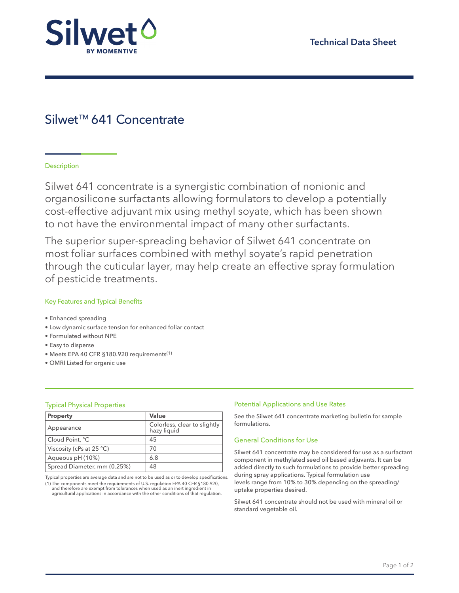

# Silwet™ 641 Concentrate

# **Description**

Silwet 641 concentrate is a synergistic combination of nonionic and organosilicone surfactants allowing formulators to develop a potentially cost-effective adjuvant mix using methyl soyate, which has been shown to not have the environmental impact of many other surfactants.

The superior super-spreading behavior of Silwet 641 concentrate on most foliar surfaces combined with methyl soyate's rapid penetration through the cuticular layer, may help create an effective spray formulation of pesticide treatments.

# Key Features and Typical Benefits

- Enhanced spreading
- Low dynamic surface tension for enhanced foliar contact
- Formulated without NPE
- Easy to disperse
- Meets EPA 40 CFR §180.920 requirements(1)
- OMRI Listed for organic use

| <b>Property</b>             | Value                                       |
|-----------------------------|---------------------------------------------|
| Appearance                  | Colorless, clear to slightly<br>hazy liquid |
| Cloud Point, °C             | 45                                          |
| Viscosity (cPs at $25 °C$ ) | 70                                          |
| Aqueous pH (10%)            | 6.8                                         |
| Spread Diameter, mm (0.25%) | 48                                          |

Typical properties are average data and are not to be used as or to develop specifications. (1) The components meet the requirements of U.S. regulation EPA 40 CFR §180.920,<br>and therefore are exempt from tolerances when used as an inert ingredient in<br>agricultural applications in accordance with the other condition

# Typical Physical Properties **Properties Potential Applications and Use Rates** Potential Applications and Use Rates

See the Silwet 641 concentrate marketing bulletin for sample formulations.

## General Conditions for Use

Silwet 641 concentrate may be considered for use as a surfactant component in methylated seed oil based adjuvants. It can be added directly to such formulations to provide better spreading during spray applications. Typical formulation use levels range from 10% to 30% depending on the spreading/ uptake properties desired.

Silwet 641 concentrate should not be used with mineral oil or standard vegetable oil.